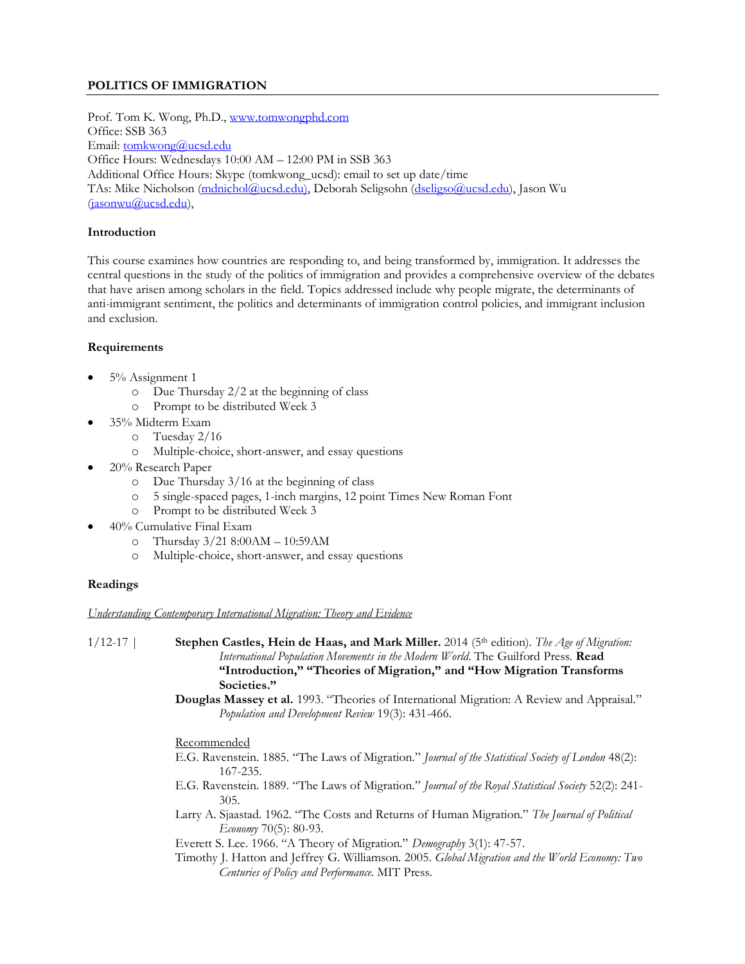# **POLITICS OF IMMIGRATION**

Prof. Tom K. Wong, Ph.D., [www.tomwongphd.com](http://www.tomwongphd.com/) Office: SSB 363 Email: [tomkwong@ucsd.edu](mailto:tomkwong@ucsd.edu) Office Hours: Wednesdays 10:00 AM – 12:00 PM in SSB 363 Additional Office Hours: Skype (tomkwong\_ucsd): email to set up date/time TAs: Mike Nicholson [\(mdnichol@ucsd.edu\),](mailto:mdnichol@ucsd.edu)) Deborah Seligsohn [\(dseligso@ucsd.edu\)](mailto:dseligso@ucsd.edu), Jason Wu [\(jasonwu@ucsd.edu\)](mailto:jasonwu@ucsd.edu),

## **Introduction**

This course examines how countries are responding to, and being transformed by, immigration. It addresses the central questions in the study of the politics of immigration and provides a comprehensive overview of the debates that have arisen among scholars in the field. Topics addressed include why people migrate, the determinants of anti-immigrant sentiment, the politics and determinants of immigration control policies, and immigrant inclusion and exclusion.

## **Requirements**

- 5% Assignment 1
	- o Due Thursday 2/2 at the beginning of class
	- o Prompt to be distributed Week 3
- 35% Midterm Exam
	- o Tuesday 2/16
	- o Multiple-choice, short-answer, and essay questions
- 20% Research Paper
	- o Due Thursday 3/16 at the beginning of class
	- o 5 single-spaced pages, 1-inch margins, 12 point Times New Roman Font
	- o Prompt to be distributed Week 3
- 40% Cumulative Final Exam
	- o Thursday 3/21 8:00AM 10:59AM
	- o Multiple-choice, short-answer, and essay questions

## **Readings**

## *Understanding Contemporary International Migration: Theory and Evidence*

1/12-17 | **Stephen Castles, Hein de Haas, and Mark Miller.** 2014 (5th edition). *The Age of Migration: International Population Movements in the Modern World*. The Guilford Press. **Read "Introduction," "Theories of Migration," and "How Migration Transforms Societies."**

> **Douglas Massey et al.** 1993. "Theories of International Migration: A Review and Appraisal." *Population and Development Review* 19(3): 431-466.

## Recommended

- E.G. Ravenstein. 1885. "The Laws of Migration." *Journal of the Statistical Society of London* 48(2): 167-235.
- E.G. Ravenstein. 1889. "The Laws of Migration." *Journal of the Royal Statistical Society* 52(2): 241- 305.
- Larry A. Sjaastad. 1962. "The Costs and Returns of Human Migration." *The Journal of Political Economy* 70(5): 80-93.
- Everett S. Lee. 1966. "A Theory of Migration." *Demography* 3(1): 47-57.
- Timothy J. Hatton and Jeffrey G. Williamson. 2005. *Global Migration and the World Economy: Two Centuries of Policy and Performance*. MIT Press.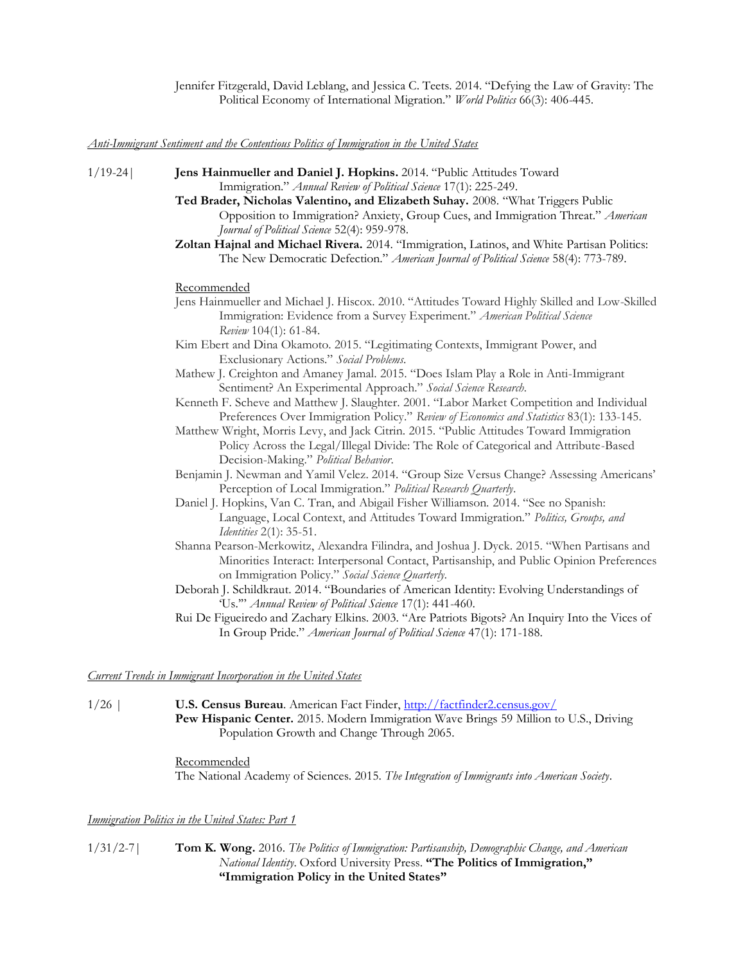Jennifer Fitzgerald, David Leblang, and Jessica C. Teets. 2014. "Defying the Law of Gravity: The Political Economy of International Migration." *World Politics* 66(3): 406-445.

*Anti-Immigrant Sentiment and the Contentious Politics of Immigration in the United States*

- 1/19-24| **Jens Hainmueller and Daniel J. Hopkins.** 2014. "Public Attitudes Toward Immigration." *Annual Review of Political Science* 17(1): 225-249.
	- **Ted Brader, Nicholas Valentino, and Elizabeth Suhay.** 2008. "What Triggers Public Opposition to Immigration? Anxiety, Group Cues, and Immigration Threat." *American Journal of Political Science* 52(4): 959-978.
	- **Zoltan Hajnal and Michael Rivera.** 2014. "Immigration, Latinos, and White Partisan Politics: The New Democratic Defection." *American Journal of Political Science* 58(4): 773-789.

#### Recommended

- Jens Hainmueller and Michael J. Hiscox. 2010. "Attitudes Toward Highly Skilled and Low-Skilled Immigration: Evidence from a Survey Experiment." *American Political Science Review* 104(1): 61-84.
- Kim Ebert and Dina Okamoto. 2015. "Legitimating Contexts, Immigrant Power, and Exclusionary Actions." *Social Problems*.
- Mathew J. Creighton and Amaney Jamal. 2015. "Does Islam Play a Role in Anti-Immigrant Sentiment? An Experimental Approach." *Social Science Research.*
- Kenneth F. Scheve and Matthew J. Slaughter. 2001. "Labor Market Competition and Individual Preferences Over Immigration Policy." *Review of Economics and Statistics* 83(1): 133-145.
- Matthew Wright, Morris Levy, and Jack Citrin. 2015. "Public Attitudes Toward Immigration Policy Across the Legal/Illegal Divide: The Role of Categorical and Attribute-Based Decision-Making." *Political Behavior*.
- Benjamin J. Newman and Yamil Velez. 2014. "Group Size Versus Change? Assessing Americans' Perception of Local Immigration." *Political Research Quarterly*.
- Daniel J. Hopkins, Van C. Tran, and Abigail Fisher Williamson. 2014. "See no Spanish: Language, Local Context, and Attitudes Toward Immigration." *Politics, Groups, and Identities* 2(1): 35-51.
- Shanna Pearson-Merkowitz, Alexandra Filindra, and Joshua J. Dyck. 2015. "When Partisans and Minorities Interact: Interpersonal Contact, Partisanship, and Public Opinion Preferences on Immigration Policy." *Social Science Quarterly.*
- Deborah J. Schildkraut. 2014. "Boundaries of American Identity: Evolving Understandings of 'Us.'" *Annual Review of Political Science* 17(1): 441-460.
- Rui De Figueiredo and Zachary Elkins. 2003. "Are Patriots Bigots? An Inquiry Into the Vices of In Group Pride." *American Journal of Political Science* 47(1): 171-188.

## *Current Trends in Immigrant Incorporation in the United States*

1/26 | **U.S. Census Bureau**. American Fact Finder, <http://factfinder2.census.gov/> **Pew Hispanic Center.** 2015. Modern Immigration Wave Brings 59 Million to U.S., Driving Population Growth and Change Through 2065.

> Recommended The National Academy of Sciences. 2015. *The Integration of Immigrants into American Society*.

## *Immigration Politics in the United States: Part 1*

1/31/2-7| **Tom K. Wong.** 2016. *The Politics of Immigration: Partisanship, Demographic Change, and American National Identity*. Oxford University Press. **"The Politics of Immigration," "Immigration Policy in the United States"**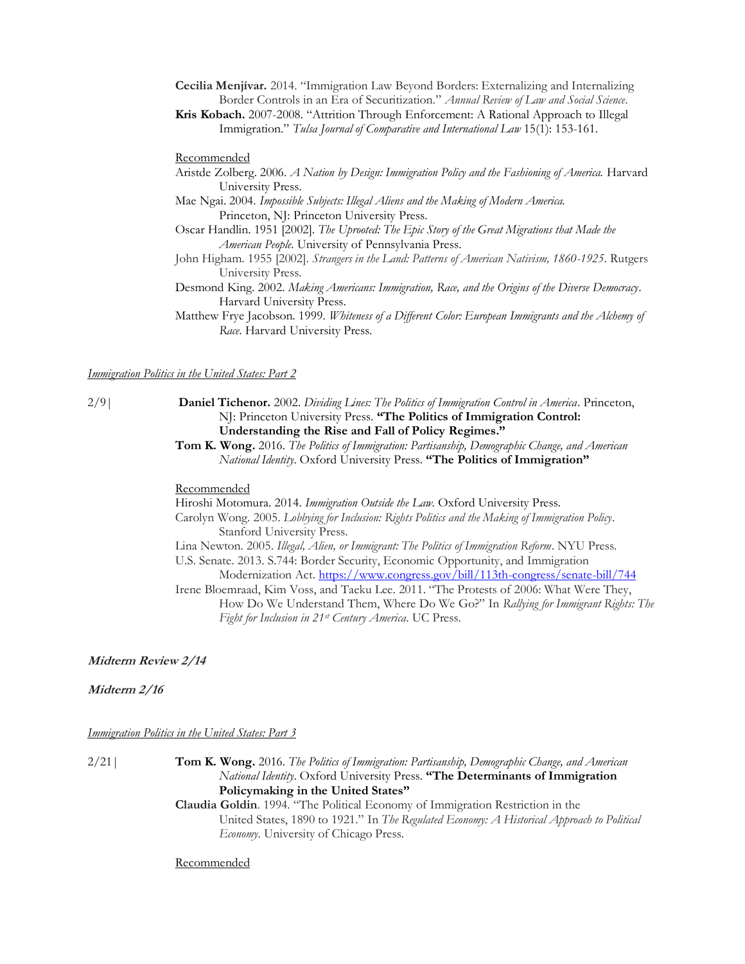- **Cecilia Menjívar.** 2014. "Immigration Law Beyond Borders: Externalizing and Internalizing Border Controls in an Era of Securitization." *Annual Review of Law and Social Science*.
- **Kris Kobach.** 2007-2008. "Attrition Through Enforcement: A Rational Approach to Illegal Immigration." *Tulsa Journal of Comparative and International Law* 15(1): 153-161.

#### Recommended

- Aristde Zolberg. 2006. *A Nation by Design: Immigration Policy and the Fashioning of America.* Harvard University Press.
- Mae Ngai. 2004. *Impossible Subjects: Illegal Aliens and the Making of Modern America.* Princeton, NJ: Princeton University Press.
- Oscar Handlin. 1951 [2002]. *The Uprooted: The Epic Story of the Great Migrations that Made the American People*. University of Pennsylvania Press.
- John Higham. 1955 [2002]. *Strangers in the Land: Patterns of American Nativism, 1860-1925*. Rutgers University Press.
- Desmond King. 2002. *Making Americans: Immigration, Race, and the Origins of the Diverse Democracy*. Harvard University Press.
- Matthew Frye Jacobson. 1999. *Whiteness of a Different Color: European Immigrants and the Alchemy of Race*. Harvard University Press.

#### *Immigration Politics in the United States: Part 2*

- 2/9| **Daniel Tichenor.** 2002. *Dividing Lines: The Politics of Immigration Control in America*. Princeton, NJ: Princeton University Press. **"The Politics of Immigration Control: Understanding the Rise and Fall of Policy Regimes."**
	- **Tom K. Wong.** 2016. *The Politics of Immigration: Partisanship, Demographic Change, and American National Identity*. Oxford University Press. **"The Politics of Immigration"**

#### Recommended

Hiroshi Motomura. 2014. *Immigration Outside the Law.* Oxford University Press.

- Carolyn Wong. 2005. *Lobbying for Inclusion: Rights Politics and the Making of Immigration Policy*. Stanford University Press.
- Lina Newton. 2005. *Illegal, Alien, or Immigrant: The Politics of Immigration Reform*. NYU Press.
- U.S. Senate. 2013. S.744: Border Security, Economic Opportunity, and Immigration Modernization Act.<https://www.congress.gov/bill/113th-congress/senate-bill/744>
- Irene Bloemraad, Kim Voss, and Taeku Lee. 2011. "The Protests of 2006: What Were They, How Do We Understand Them, Where Do We Go?" In *Rallying for Immigrant Rights: The Fight for Inclusion in 21st Century America*. UC Press.

## **Midterm Review 2/14**

#### **Midterm 2/16**

*Immigration Politics in the United States: Part 3*

2/21| **Tom K. Wong.** 2016. *The Politics of Immigration: Partisanship, Demographic Change, and American National Identity*. Oxford University Press. **"The Determinants of Immigration Policymaking in the United States"** 

> **Claudia Goldin**. 1994. "The Political Economy of Immigration Restriction in the United States, 1890 to 1921." In *The Regulated Economy: A Historical Approach to Political Economy*. University of Chicago Press.

**Recommended**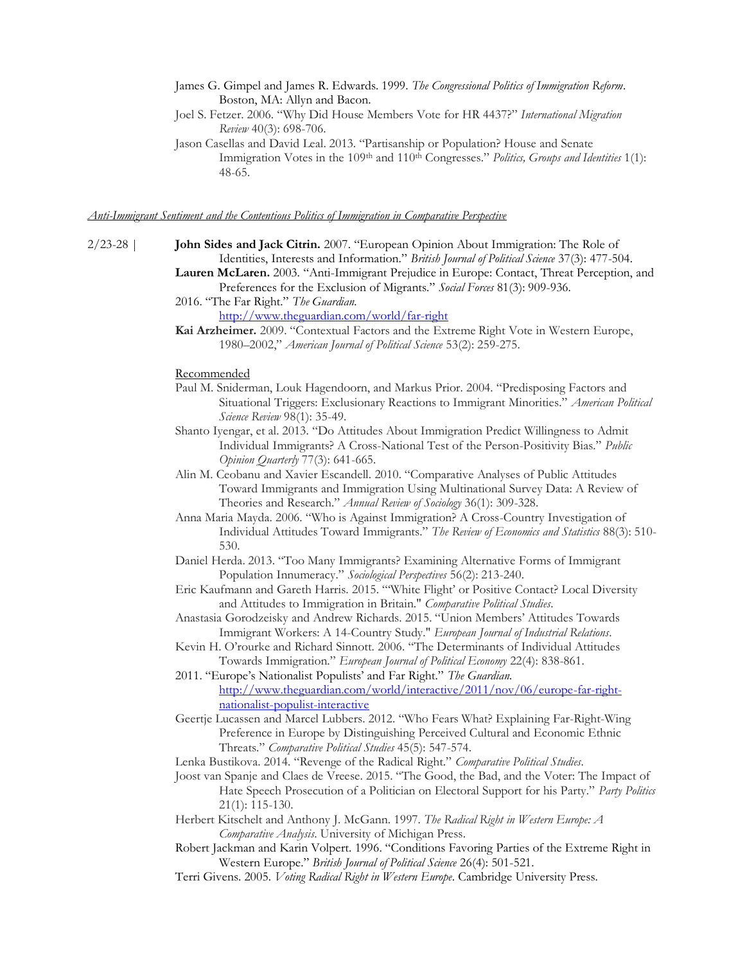- James G. Gimpel and James R. Edwards. 1999. *The Congressional Politics of Immigration Reform*. Boston, MA: Allyn and Bacon.
- Joel S. Fetzer. 2006. "Why Did House Members Vote for HR 4437?" *International Migration Review* 40(3): 698-706.
- Jason Casellas and David Leal. 2013. "Partisanship or Population? House and Senate Immigration Votes in the 109<sup>th</sup> and 110<sup>th</sup> Congresses." *Politics, Groups and Identities* 1(1): 48-65.

#### *Anti-Immigrant Sentiment and the Contentious Politics of Immigration in Comparative Perspective*

- 2/23-28 | **John Sides and Jack Citrin.** 2007. "European Opinion About Immigration: The Role of Identities, Interests and Information." *British Journal of Political Science* 37(3): 477-504. **Lauren McLaren.** 2003. "Anti-Immigrant Prejudice in Europe: Contact, Threat Perception, and
	- Preferences for the Exclusion of Migrants." *Social Forces* 81(3): 909-936.

2016. "The Far Right." *The Guardian.* 

<http://www.theguardian.com/world/far-right>

**Kai Arzheimer.** 2009. "Contextual Factors and the Extreme Right Vote in Western Europe, 1980–2002," *American Journal of Political Science* 53(2): 259-275.

## Recommended

- Paul M. Sniderman, Louk Hagendoorn, and Markus Prior. 2004. "Predisposing Factors and Situational Triggers: Exclusionary Reactions to Immigrant Minorities." *American Political Science Review* 98(1): 35-49.
- Shanto Iyengar, et al. 2013. "Do Attitudes About Immigration Predict Willingness to Admit Individual Immigrants? A Cross-National Test of the Person-Positivity Bias." *Public Opinion Quarterly* 77(3): 641-665.
- Alin M. Ceobanu and Xavier Escandell. 2010. "Comparative Analyses of Public Attitudes Toward Immigrants and Immigration Using Multinational Survey Data: A Review of Theories and Research." *Annual Review of Sociology* 36(1): 309-328.
- Anna Maria Mayda. 2006. "Who is Against Immigration? A Cross-Country Investigation of Individual Attitudes Toward Immigrants." *The Review of Economics and Statistics* 88(3): 510- 530.
- Daniel Herda. 2013. "Too Many Immigrants? Examining Alternative Forms of Immigrant Population Innumeracy." *Sociological Perspectives* 56(2): 213-240.
- Eric Kaufmann and Gareth Harris. 2015. "'White Flight' or Positive Contact? Local Diversity and Attitudes to Immigration in Britain." *Comparative Political Studies*.
- Anastasia Gorodzeisky and Andrew Richards. 2015. "Union Members' Attitudes Towards Immigrant Workers: A 14-Country Study." *European Journal of Industrial Relations*.
- Kevin H. O'rourke and Richard Sinnott. 2006. "The Determinants of Individual Attitudes Towards Immigration." *European Journal of Political Economy* 22(4): 838-861.

2011. "Europe's Nationalist Populists' and Far Right." *The Guardian.*  [http://www.theguardian.com/world/interactive/2011/nov/06/europe-far-right](http://www.theguardian.com/world/interactive/2011/nov/06/europe-far-right-nationalist-populist-interactive)[nationalist-populist-interactive](http://www.theguardian.com/world/interactive/2011/nov/06/europe-far-right-nationalist-populist-interactive)

- Geertje Lucassen and Marcel Lubbers. 2012. "Who Fears What? Explaining Far-Right-Wing Preference in Europe by Distinguishing Perceived Cultural and Economic Ethnic Threats." *Comparative Political Studies* 45(5): 547-574.
- Lenka Bustikova. 2014. "Revenge of the Radical Right." *Comparative Political Studies*.
- Joost van Spanje and Claes de Vreese. 2015. "The Good, the Bad, and the Voter: The Impact of Hate Speech Prosecution of a Politician on Electoral Support for his Party." *Party Politics* 21(1): 115-130.
- Herbert Kitschelt and Anthony J. McGann. 1997. *The Radical Right in Western Europe: A Comparative Analysis*. University of Michigan Press.
- Robert Jackman and Karin Volpert. 1996. "Conditions Favoring Parties of the Extreme Right in Western Europe." *British Journal of Political Science* 26(4): 501-521.
- Terri Givens. 2005. *Voting Radical Right in Western Europe*. Cambridge University Press.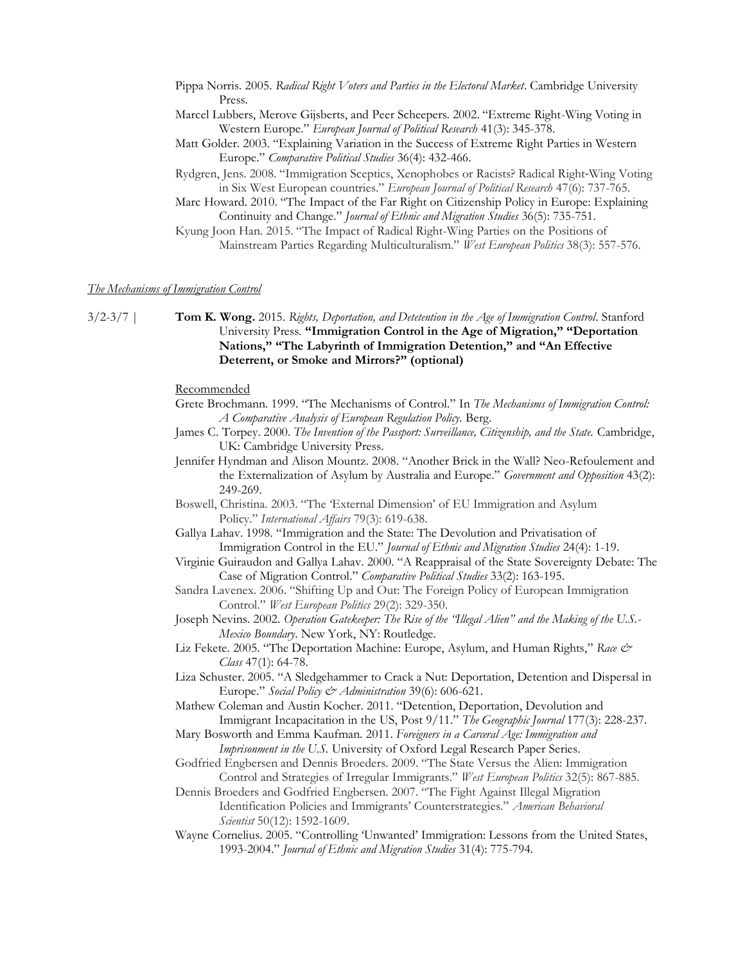- Pippa Norris. 2005. *Radical Right Voters and Parties in the Electoral Market*. Cambridge University Press.
- Marcel Lubbers, Merove Gijsberts, and Peer Scheepers. 2002. "Extreme Right-Wing Voting in Western Europe." *European Journal of Political Research* 41(3): 345-378.
- Matt Golder. 2003. "Explaining Variation in the Success of Extreme Right Parties in Western Europe." *Comparative Political Studies* 36(4): 432-466.
- Rydgren, Jens. 2008. "Immigration Sceptics, Xenophobes or Racists? Radical Right‐Wing Voting in Six West European countries." *European Journal of Political Research* 47(6): 737-765.
- Marc Howard. 2010. "The Impact of the Far Right on Citizenship Policy in Europe: Explaining Continuity and Change." *Journal of Ethnic and Migration Studies* 36(5): 735-751.

Kyung Joon Han. 2015. "The Impact of Radical Right-Wing Parties on the Positions of Mainstream Parties Regarding Multiculturalism." *West European Politics* 38(3): 557-576.

### *The Mechanisms of Immigration Control*

3/2-3/7 | **Tom K. Wong.** 2015. *Rights, Deportation, and Detetention in the Age of Immigration Control*. Stanford University Press. **"Immigration Control in the Age of Migration," "Deportation Nations," "The Labyrinth of Immigration Detention," and "An Effective Deterrent, or Smoke and Mirrors?" (optional)**

### Recommended

- Grete Brochmann. 1999. "The Mechanisms of Control." In *The Mechanisms of Immigration Control: A Comparative Analysis of European Regulation Policy.* Berg.
- James C. Torpey. 2000. *The Invention of the Passport: Surveillance, Citizenship, and the State.* Cambridge, UK: Cambridge University Press.
- Jennifer Hyndman and Alison Mountz. 2008. "Another Brick in the Wall? Neo-Refoulement and the Externalization of Asylum by Australia and Europe." *Government and Opposition* 43(2): 249-269.
- Boswell, Christina. 2003. "The 'External Dimension' of EU Immigration and Asylum Policy." *International Affairs* 79(3): 619-638.
- Gallya Lahav. 1998. "Immigration and the State: The Devolution and Privatisation of Immigration Control in the EU." *Journal of Ethnic and Migration Studies* 24(4): 1-19.
- Virginie Guiraudon and Gallya Lahav. 2000. "A Reappraisal of the State Sovereignty Debate: The Case of Migration Control." *Comparative Political Studies* 33(2): 163-195.
- Sandra Lavenex. 2006. "Shifting Up and Out: The Foreign Policy of European Immigration Control." *West European Politics* 29(2): 329-350.
- Joseph Nevins. 2002. *Operation Gatekeeper: The Rise of the "Illegal Alien" and the Making of the U.S.- Mexico Boundary*. New York, NY: Routledge.
- Liz Fekete. 2005. "The Deportation Machine: Europe, Asylum, and Human Rights," *Race & Class* 47(1): 64-78.
- Liza Schuster. 2005. "A Sledgehammer to Crack a Nut: Deportation, Detention and Dispersal in Europe." *Social Policy & Administration* 39(6): 606-621.
- Mathew Coleman and Austin Kocher. 2011. "Detention, Deportation, Devolution and Immigrant Incapacitation in the US, Post 9/11." *The Geographic Journal* 177(3): 228-237.
- Mary Bosworth and Emma Kaufman. 2011. *Foreigners in a Carceral Age: Immigration and Imprisonment in the U.S.* University of Oxford Legal Research Paper Series.
- Godfried Engbersen and Dennis Broeders. 2009. "The State Versus the Alien: Immigration Control and Strategies of Irregular Immigrants." *West European Politics* 32(5): 867-885.
- Dennis Broeders and Godfried Engbersen. 2007. "The Fight Against Illegal Migration Identification Policies and Immigrants' Counterstrategies." *American Behavioral Scientist* 50(12): 1592-1609.
- Wayne Cornelius. 2005. "Controlling 'Unwanted' Immigration: Lessons from the United States, 1993-2004." *Journal of Ethnic and Migration Studies* 31(4): 775-794.